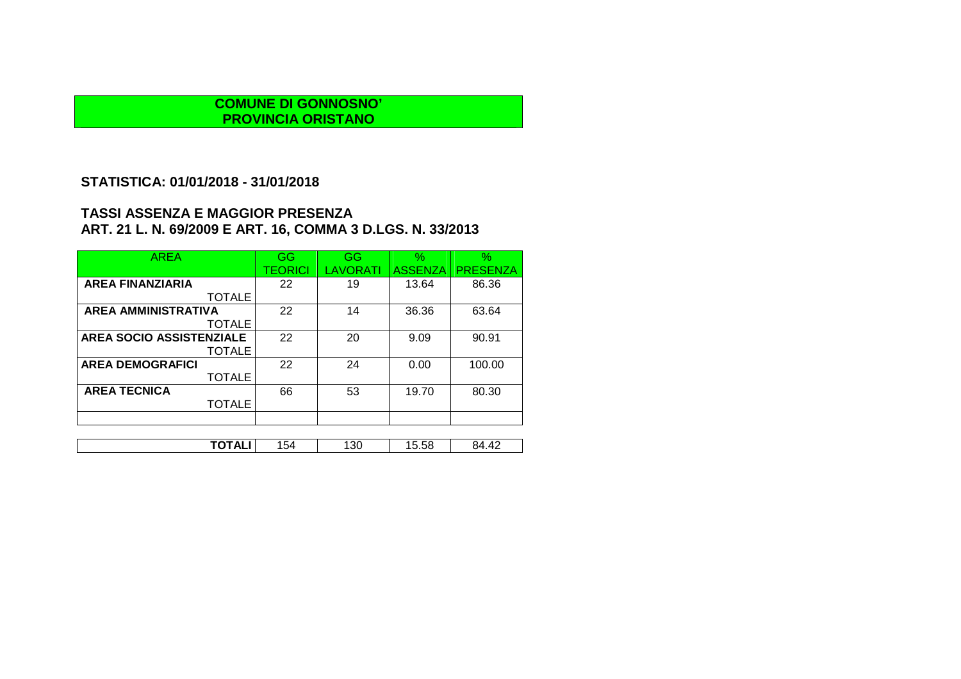#### **STATISTICA: 01/01/2018 - 31/01/2018**

| <b>AREA</b>                     | GG      | <b>GG</b> | $\%$           | $\%$            |
|---------------------------------|---------|-----------|----------------|-----------------|
|                                 | TEORICI | LAVORATI  | <b>ASSENZA</b> | <b>PRESENZA</b> |
| <b>AREA FINANZIARIA</b>         | 22      | 19        | 13.64          | 86.36           |
| <b>TOTALE</b>                   |         |           |                |                 |
| <b>AREA AMMINISTRATIVA</b>      | 22      | 14        | 36.36          | 63.64           |
| <b>TOTALE</b>                   |         |           |                |                 |
| <b>AREA SOCIO ASSISTENZIALE</b> | 22      | 20        | 9.09           | 90.91           |
| <b>TOTALE</b>                   |         |           |                |                 |
| <b>AREA DEMOGRAFICI</b>         | 22      | 24        | 0.00           | 100.00          |
| <b>TOTALE</b>                   |         |           |                |                 |
| <b>AREA TECNICA</b>             | 66      | 53        | 19.70          | 80.30           |
| <b>TOTALE</b>                   |         |           |                |                 |
|                                 |         |           |                |                 |
|                                 |         |           |                |                 |
| TOTALI                          | 154     | 130       | 15.58          | 84.42           |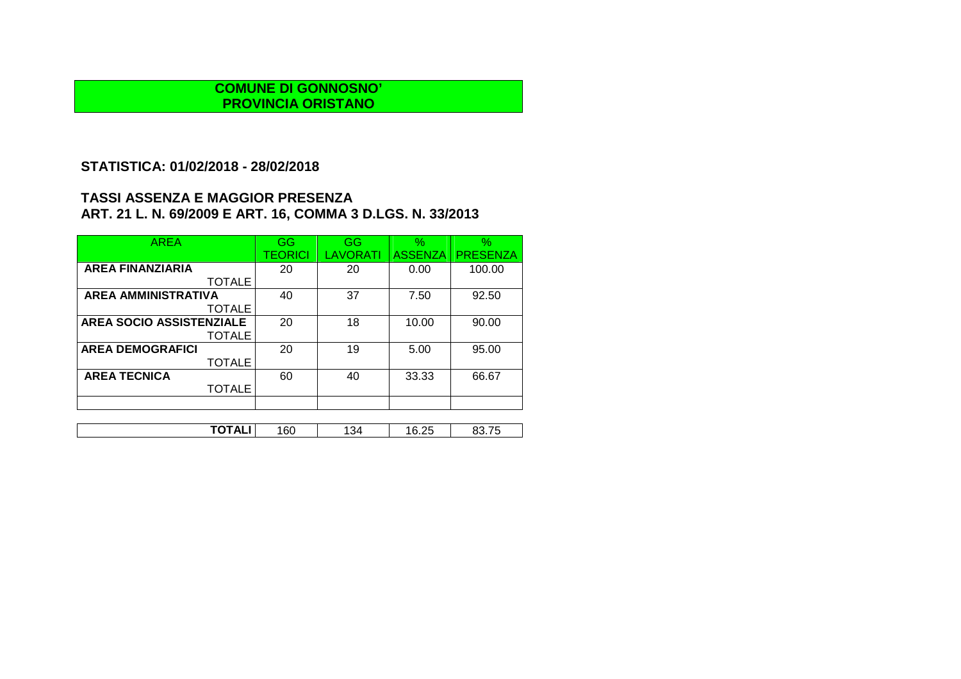## **STATISTICA: 01/02/2018 - 28/02/2018**

| <b>AREA</b>                | GG      | GG              | $\frac{1}{2}$  | $\%$            |
|----------------------------|---------|-----------------|----------------|-----------------|
|                            | TEORICI | <b>LAVORATI</b> | <b>ASSENZA</b> | <b>PRESENZA</b> |
| <b>AREA FINANZIARIA</b>    | 20      | 20              | 0.00           | 100.00          |
| <b>TOTALE</b>              |         |                 |                |                 |
| <b>AREA AMMINISTRATIVA</b> | 40      | 37              | 7.50           | 92.50           |
| <b>TOTALE</b>              |         |                 |                |                 |
| AREA SOCIO ASSISTENZIALE   | 20      | 18              | 10.00          | 90.00           |
| <b>TOTALE</b>              |         |                 |                |                 |
| <b>AREA DEMOGRAFICI</b>    | 20      | 19              | 5.00           | 95.00           |
| <b>TOTALE</b>              |         |                 |                |                 |
| <b>AREA TECNICA</b>        | 60      | 40              | 33.33          | 66.67           |
| <b>TOTALE</b>              |         |                 |                |                 |
|                            |         |                 |                |                 |
|                            |         |                 |                |                 |

| -----<br>34<br>$\sim$ $\sim$<br>160<br>A<br>בשנ<br>าเ<br>∼<br>. u<br>∪.∠∪<br>. .<br>. <del>.</del> |
|----------------------------------------------------------------------------------------------------|
|----------------------------------------------------------------------------------------------------|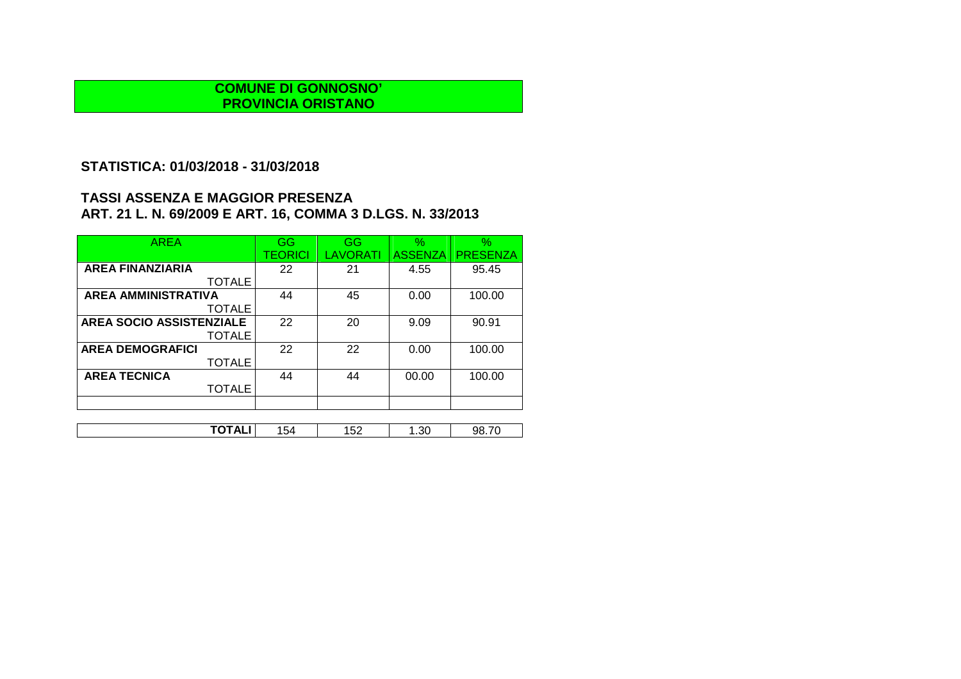# **STATISTICA: 01/03/2018 - 31/03/2018**

| <b>AREA</b>                     | GG             | GG              | $\%$           | $\%$            |
|---------------------------------|----------------|-----------------|----------------|-----------------|
|                                 | <b>TEORICI</b> | <b>LAVORATI</b> | <b>ASSENZA</b> | <b>PRESENZA</b> |
| <b>AREA FINANZIARIA</b>         | 22             | 21              | 4.55           | 95.45           |
| <b>TOTALE</b>                   |                |                 |                |                 |
| <b>AREA AMMINISTRATIVA</b>      | 44             | 45              | 0.00           | 100.00          |
| <b>TOTALE</b>                   |                |                 |                |                 |
| <b>AREA SOCIO ASSISTENZIALE</b> | 22             | 20              | 9.09           | 90.91           |
| <b>TOTALE</b>                   |                |                 |                |                 |
| <b>AREA DEMOGRAFICI</b>         | 22             | 22              | 0.00           | 100.00          |
| <b>TOTALE</b>                   |                |                 |                |                 |
| <b>AREA TECNICA</b>             | 44             | 44              | 00.00          | 100.00          |
| <b>TOTALE</b>                   |                |                 |                |                 |
|                                 |                |                 |                |                 |
|                                 |                |                 |                |                 |

| ------<br>-52<br>.<br>or<br>JЯ<br>.54<br>17LI<br>ັ<br>.ں.<br>ັ<br>_ _ _ |
|-------------------------------------------------------------------------|
|-------------------------------------------------------------------------|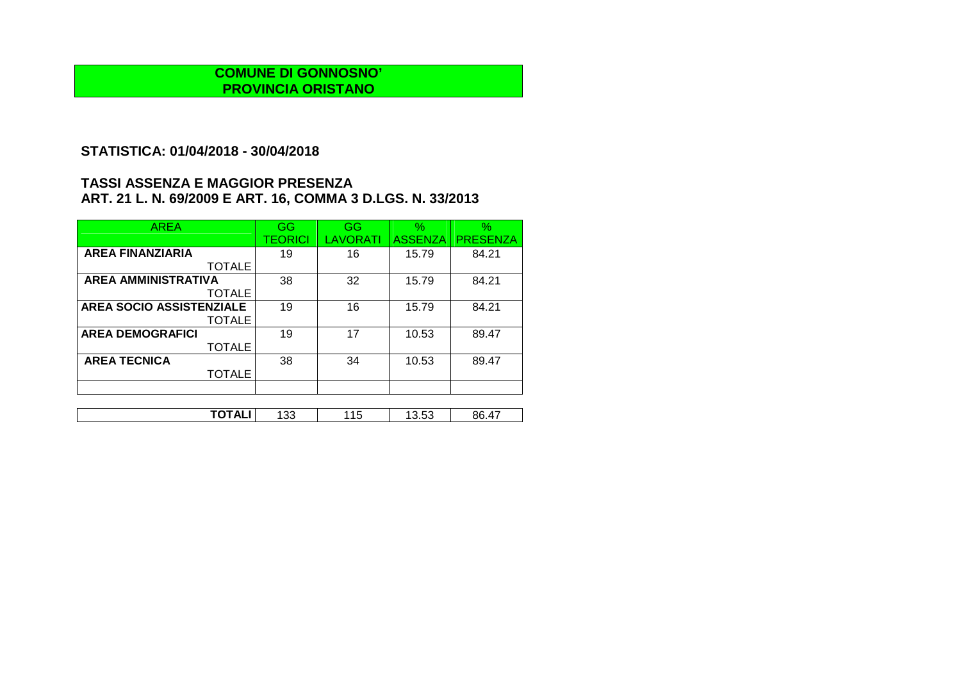## **STATISTICA: 01/04/2018 - 30/04/2018**

| <b>AREA</b>                     | GG      | GG       | $\%$           | $\%$            |
|---------------------------------|---------|----------|----------------|-----------------|
|                                 | TEORICI | LAVORATI | <b>ASSENZA</b> | <b>PRESENZA</b> |
| <b>AREA FINANZIARIA</b>         | 19      | 16       | 15.79          | 84.21           |
| <b>TOTALE</b>                   |         |          |                |                 |
| <b>AREA AMMINISTRATIVA</b>      | 38      | 32       | 15.79          | 84.21           |
| <b>TOTALE</b>                   |         |          |                |                 |
| <b>AREA SOCIO ASSISTENZIALE</b> | 19      | 16       | 15.79          | 84.21           |
| <b>TOTALE</b>                   |         |          |                |                 |
| <b>AREA DEMOGRAFICI</b>         | 19      | 17       | 10.53          | 89.47           |
| <b>TOTALE</b>                   |         |          |                |                 |
| <b>AREA TECNICA</b>             | 38      | 34       | 10.53          | 89.47           |
| TOTALE                          |         |          |                |                 |
|                                 |         |          |                |                 |

| ------<br>$ -$<br>$\lambda$ –<br>ິ<br><b>11</b><br>n.<br>$\overline{\phantom{a}}$<br>ี∪<br>⊽.⊽⊽<br>ັບ<br>┄<br>. |  |  |  |
|-----------------------------------------------------------------------------------------------------------------|--|--|--|
|                                                                                                                 |  |  |  |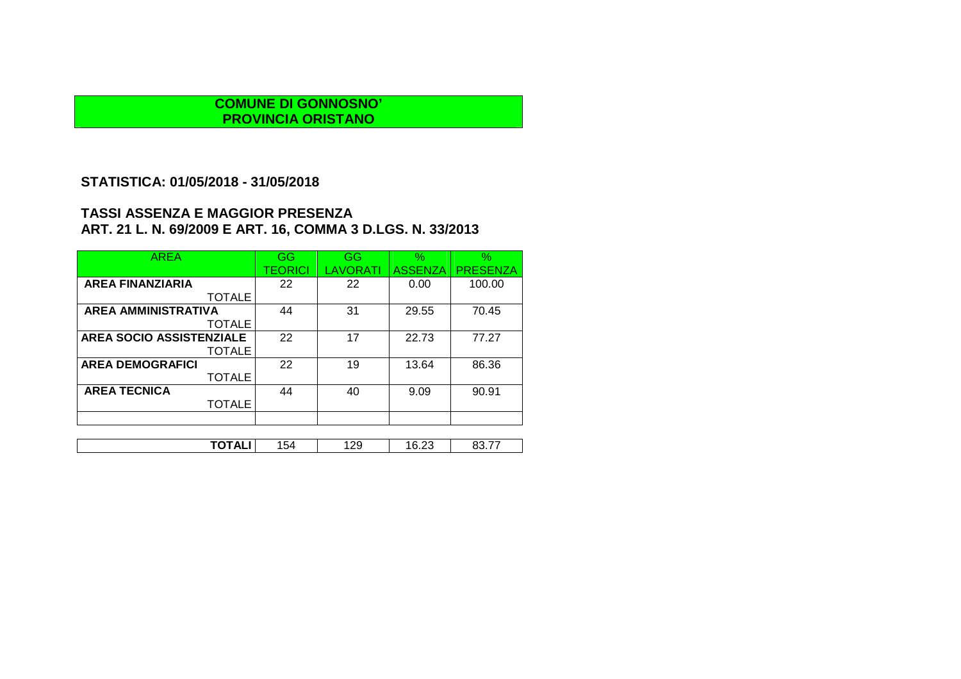# **STATISTICA: 01/05/2018 - 31/05/2018**

| <b>AREA</b>                | GG      | <b>GG</b>       | $\%$           | $\%$            |
|----------------------------|---------|-----------------|----------------|-----------------|
|                            | TEORICI | <b>LAVORATI</b> | <b>ASSENZA</b> | <b>PRESENZA</b> |
| <b>AREA FINANZIARIA</b>    | 22      | 22              | 0.00           | 100.00          |
| <b>TOTALE</b>              |         |                 |                |                 |
| <b>AREA AMMINISTRATIVA</b> | 44      | 31              | 29.55          | 70.45           |
| <b>TOTALE</b>              |         |                 |                |                 |
| AREA SOCIO ASSISTENZIALE   | 22      | 17              | 22.73          | 77.27           |
| TOTALE                     |         |                 |                |                 |
| <b>AREA DEMOGRAFICI</b>    | 22      | 19              | 13.64          | 86.36           |
| <b>TOTALE</b>              |         |                 |                |                 |
| <b>AREA TECNICA</b>        | 44      | 40              | 9.09           | 90.91           |
| <b>TOTALE</b>              |         |                 |                |                 |
|                            |         |                 |                |                 |
|                            |         |                 |                |                 |
| TOTALI                     | 154     | 129             | 16.23          | 83.77           |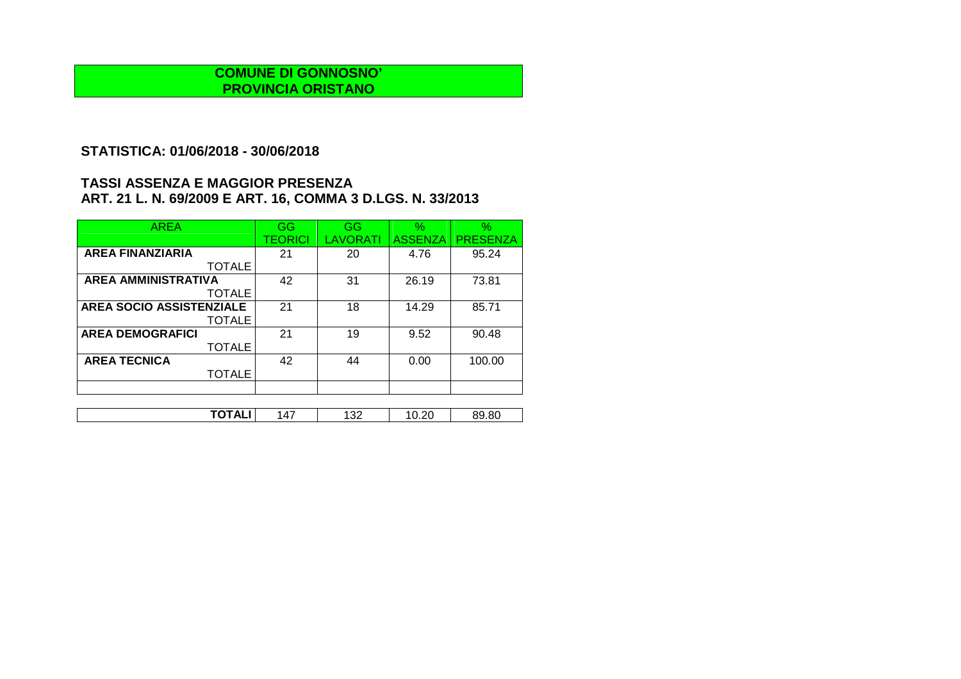## **STATISTICA: 01/06/2018 - 30/06/2018**

| <b>AREA</b>                     | GG      | GG       | $\%$           | $\%$            |
|---------------------------------|---------|----------|----------------|-----------------|
|                                 | TEORICI | LAVORATI | <b>ASSENZA</b> | <b>PRESENZA</b> |
| <b>AREA FINANZIARIA</b>         | 21      | 20       | 4.76           | 95.24           |
| <b>TOTALE</b>                   |         |          |                |                 |
| <b>AREA AMMINISTRATIVA</b>      | 42      | 31       | 26.19          | 73.81           |
| <b>TOTALE</b>                   |         |          |                |                 |
| <b>AREA SOCIO ASSISTENZIALE</b> | 21      | 18       | 14.29          | 85.71           |
| <b>TOTALE</b>                   |         |          |                |                 |
| <b>AREA DEMOGRAFICI</b>         | 21      | 19       | 9.52           | 90.48           |
| <b>TOTALE</b>                   |         |          |                |                 |
| <b>AREA TECNICA</b>             | 42      | 44       | 0.00           | 100.00          |
| <b>TOTALE</b>                   |         |          |                |                 |
|                                 |         |          |                |                 |

| ------- |           |             |                         |                |
|---------|-----------|-------------|-------------------------|----------------|
| ┄<br>.  | $\Lambda$ | າາ<br>1 J L | $\sim$<br>$\cdot$ v.r.v | ററ<br>.<br>.ot |
|         |           |             |                         |                |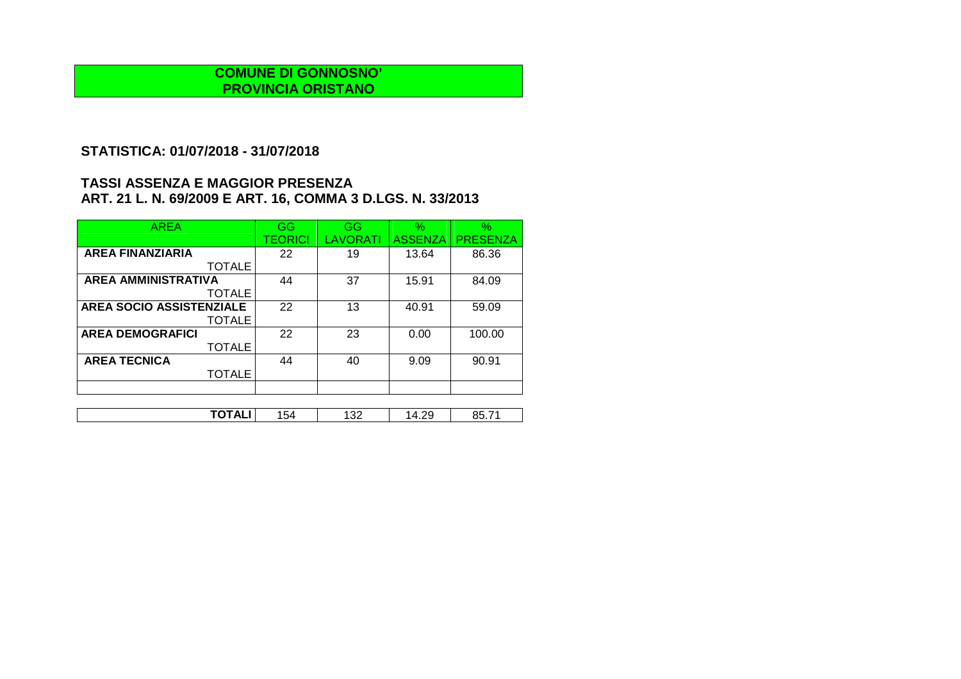## **STATISTICA: 01/07/2018 - 31/07/2018**

| <b>AREA</b>                     | GG             | GG       | $\frac{1}{2}$  | $\%$            |
|---------------------------------|----------------|----------|----------------|-----------------|
|                                 | <b>TEORICI</b> | LAVORATI | <b>ASSENZA</b> | <b>PRESENZA</b> |
| <b>AREA FINANZIARIA</b>         | 22             | 19       | 13.64          | 86.36           |
| <b>TOTALE</b>                   |                |          |                |                 |
| <b>AREA AMMINISTRATIVA</b>      | 44             | 37       | 15.91          | 84.09           |
| <b>TOTALE</b>                   |                |          |                |                 |
| <b>AREA SOCIO ASSISTENZIALE</b> | 22             | 13       | 40.91          | 59.09           |
| <b>TOTALE</b>                   |                |          |                |                 |
| <b>AREA DEMOGRAFICI</b>         | 22             | 23       | 0.00           | 100.00          |
| <b>TOTALE</b>                   |                |          |                |                 |
| <b>AREA TECNICA</b>             | 44             | 40       | 9.09           | 90.91           |
| <b>TOTALE</b>                   |                |          |                |                 |
|                                 |                |          |                |                 |

| . .<br>¬⊾<br>. | ∼<br>ר ש | oc<br>∹⊀<br>1 J L | -<br>ں ∟. ⊤ |  |
|----------------|----------|-------------------|-------------|--|
|                |          |                   |             |  |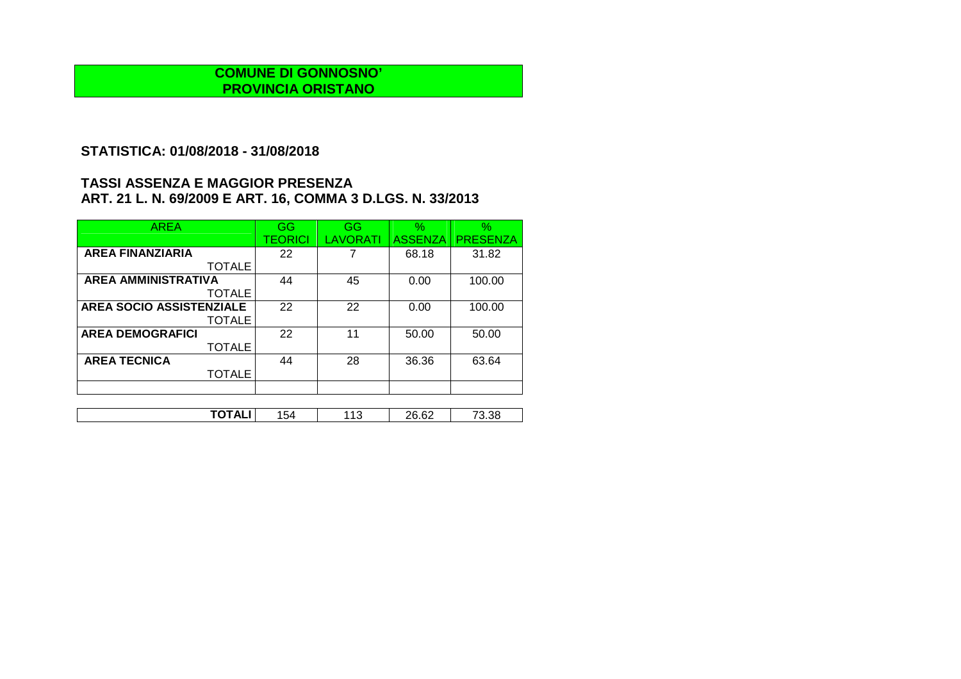## **STATISTICA: 01/08/2018 - 31/08/2018**

| <b>AREA</b>                     | GG             | GG       | $\%$           | $\%$            |
|---------------------------------|----------------|----------|----------------|-----------------|
|                                 | <b>TEORICI</b> | LAVORATI | <b>ASSENZA</b> | <b>PRESENZA</b> |
| <b>AREA FINANZIARIA</b>         | 22             |          | 68.18          | 31.82           |
| <b>TOTALE</b>                   |                |          |                |                 |
| <b>AREA AMMINISTRATIVA</b>      | 44             | 45       | 0.00           | 100.00          |
| <b>TOTALE</b>                   |                |          |                |                 |
| <b>AREA SOCIO ASSISTENZIALE</b> | 22             | 22       | 0.00           | 100.00          |
| <b>TOTALE</b>                   |                |          |                |                 |
| <b>AREA DEMOGRAFICI</b>         | 22             | 11       | 50.00          | 50.00           |
| <b>TOTALE</b>                   |                |          |                |                 |
| <b>AREA TECNICA</b>             | 44             | 28       | 36.36          | 63.64           |
| <b>TOTALE</b>                   |                |          |                |                 |
|                                 |                |          |                |                 |

| ጋፎ<br>- 71<br>"ha<br>3.38<br>AL.<br>$\overline{\phantom{a}}$<br>ר טי<br>LU.UL<br>. |       |  |                |  |
|------------------------------------------------------------------------------------|-------|--|----------------|--|
|                                                                                    | ----- |  | $\mathbb{C}^r$ |  |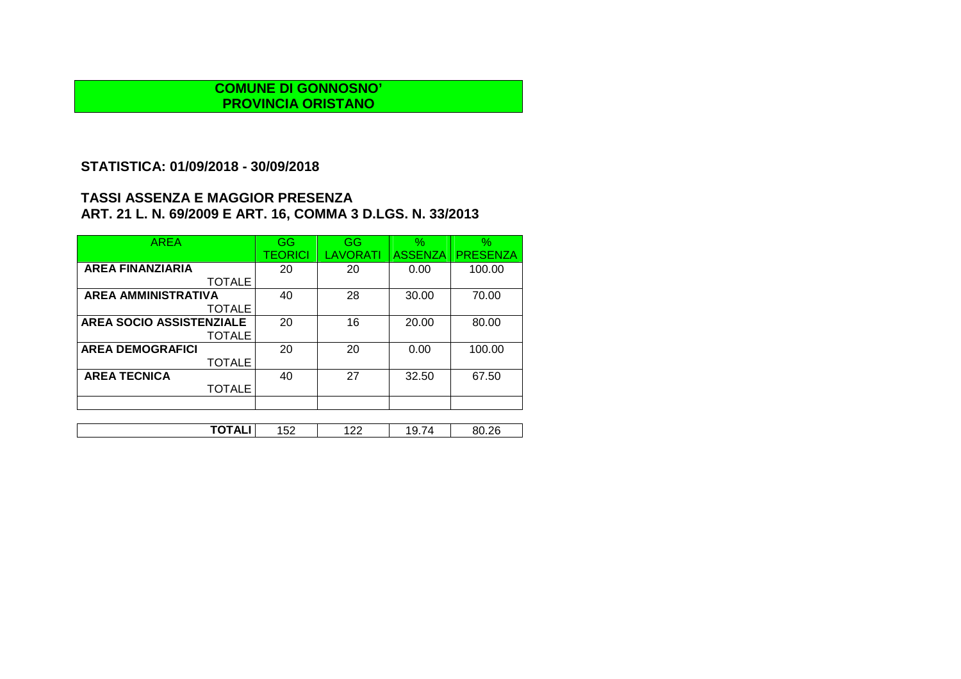# **STATISTICA: 01/09/2018 - 30/09/2018**

| <b>AREA</b>                     | GG      | GG              | $\%$           | $\%$            |
|---------------------------------|---------|-----------------|----------------|-----------------|
|                                 | TEORICI | <b>LAVORATI</b> | <b>ASSENZA</b> | <b>PRESENZA</b> |
| <b>AREA FINANZIARIA</b>         | 20      | 20              | 0.00           | 100.00          |
| <b>TOTALE</b>                   |         |                 |                |                 |
| <b>AREA AMMINISTRATIVA</b>      | 40      | 28              | 30.00          | 70.00           |
| <b>TOTALE</b>                   |         |                 |                |                 |
| <b>AREA SOCIO ASSISTENZIALE</b> | 20      | 16              | 20.00          | 80.00           |
| <b>TOTALE</b>                   |         |                 |                |                 |
| <b>AREA DEMOGRAFICI</b>         | 20      | 20              | 0.00           | 100.00          |
| <b>TOTALE</b>                   |         |                 |                |                 |
| <b>AREA TECNICA</b>             | 40      | 27              | 32.50          | 67.50           |
| <b>TOTALE</b>                   |         |                 |                |                 |
|                                 |         |                 |                |                 |
|                                 |         |                 |                |                 |

| $\cdot$<br>. רי<br>້ີບ<br>--<br>، ے ب<br>. U.L.U<br>ॱ∠∠<br>$\cdot$<br>¬⊫.<br>. .<br>. | --- | $ \sim$ | $\sim$ |  | າດ |
|---------------------------------------------------------------------------------------|-----|---------|--------|--|----|
|---------------------------------------------------------------------------------------|-----|---------|--------|--|----|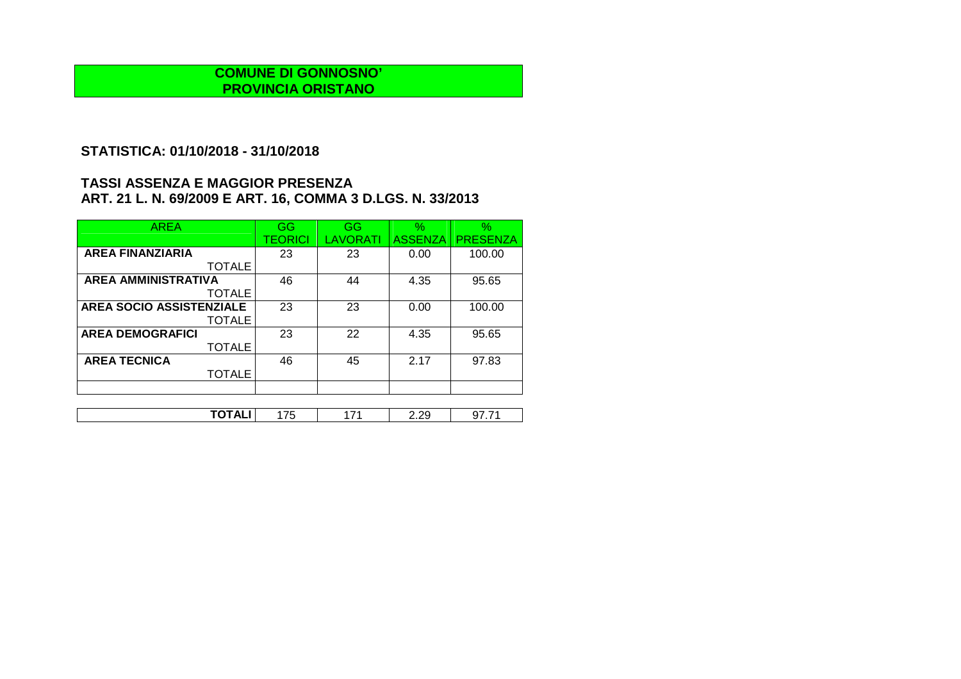## **STATISTICA: 01/10/2018 - 31/10/2018**

| <b>AREA</b>                     | GG             | GG       | $\%$           | $\%$            |
|---------------------------------|----------------|----------|----------------|-----------------|
|                                 | <b>TEORICI</b> | LAVORATI | <b>ASSENZA</b> | <b>PRESENZA</b> |
| <b>AREA FINANZIARIA</b>         | 23             | 23       | 0.00           | 100.00          |
| <b>TOTALE</b>                   |                |          |                |                 |
| <b>AREA AMMINISTRATIVA</b>      | 46             | 44       | 4.35           | 95.65           |
| <b>TOTALE</b>                   |                |          |                |                 |
| <b>AREA SOCIO ASSISTENZIALE</b> | 23             | 23       | 0.00           | 100.00          |
| <b>TOTALE</b>                   |                |          |                |                 |
| <b>AREA DEMOGRAFICI</b>         | 23             | 22       | 4.35           | 95.65           |
| <b>TOTALE</b>                   |                |          |                |                 |
| <b>AREA TECNICA</b>             | 46             | 45       | 2.17           | 97.83           |
| <b>TOTALE</b>                   |                |          |                |                 |
|                                 |                |          |                |                 |

| ------<br>- - |   | - - | $\sim$                |  |
|---------------|---|-----|-----------------------|--|
|               | v |     | $\sim\sim$<br>_______ |  |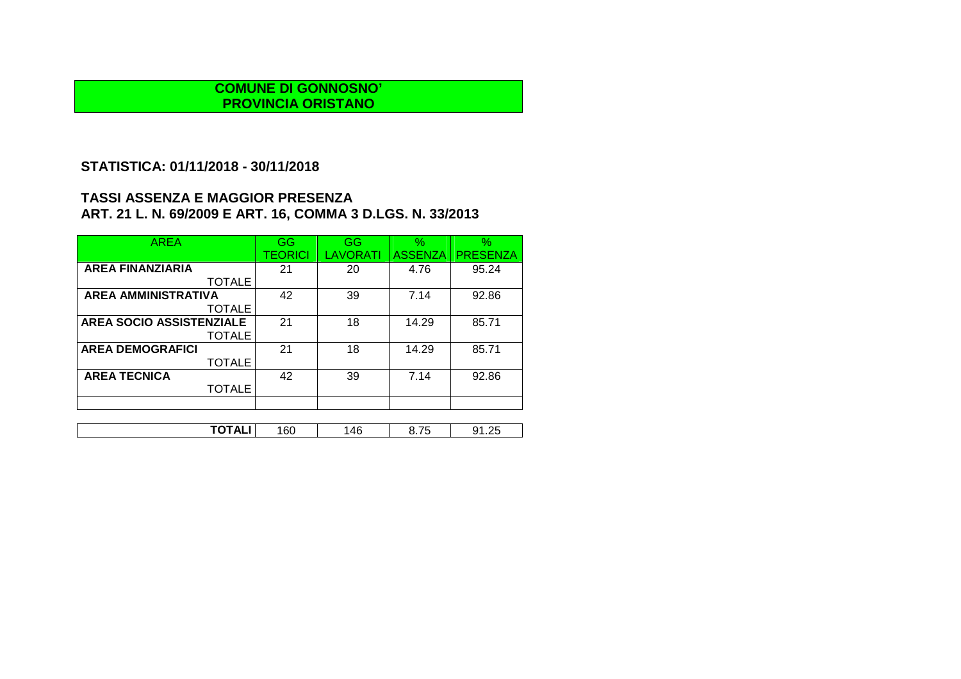# **STATISTICA: 01/11/2018 - 30/11/2018**

| <b>AREA</b>                | GG             | GG       | $\%$           | $\%$            |
|----------------------------|----------------|----------|----------------|-----------------|
|                            | <b>TEORICI</b> | LAVORATI | <b>ASSENZA</b> | <b>PRESENZA</b> |
| <b>AREA FINANZIARIA</b>    | 21             | 20       | 4.76           | 95.24           |
| <b>TOTALE</b>              |                |          |                |                 |
| <b>AREA AMMINISTRATIVA</b> | 42             | 39       | 7.14           | 92.86           |
| <b>TOTALE</b>              |                |          |                |                 |
| AREA SOCIO ASSISTENZIALE   | 21             | 18       | 14.29          | 85.71           |
| <b>TOTALE</b>              |                |          |                |                 |
| <b>AREA DEMOGRAFICI</b>    | 21             | 18       | 14.29          | 85.71           |
| <b>TOTALE</b>              |                |          |                |                 |
| <b>AREA TECNICA</b>        | 42             | 39       | 7.14           | 92.86           |
| <b>TOTALE</b>              |                |          |                |                 |
|                            |                |          |                |                 |
|                            |                |          |                |                 |

| ΟU<br>. .<br>v<br>т.<br>, , , , , <u>, ,</u> | . | . . | ЛF | $-$ |  |
|----------------------------------------------|---|-----|----|-----|--|
|----------------------------------------------|---|-----|----|-----|--|